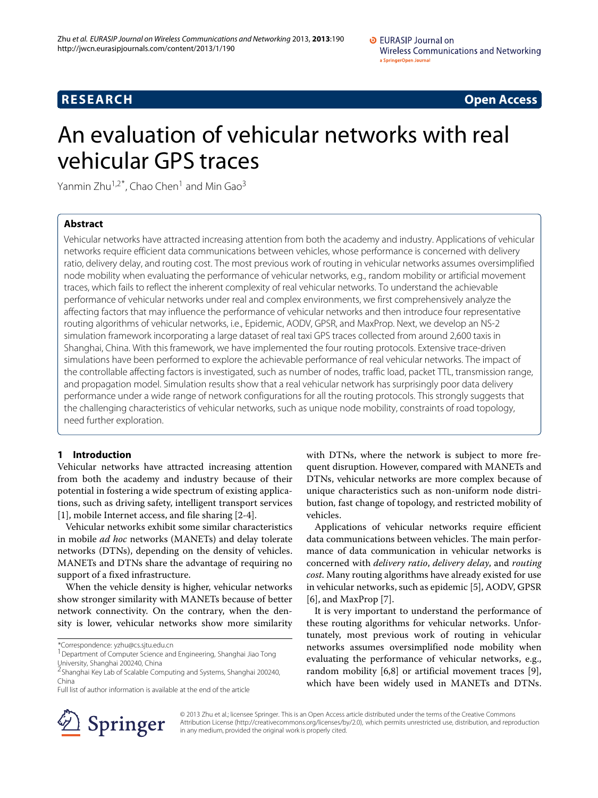**RESEARCH Open Access**

# An evaluation of vehicular networks with real vehicular GPS traces

Yanmin Zhu<sup>1,2\*</sup>, Chao Chen<sup>1</sup> and Min Gao<sup>3</sup>

# **Abstract**

Vehicular networks have attracted increasing attention from both the academy and industry. Applications of vehicular networks require efficient data communications between vehicles, whose performance is concerned with delivery ratio, delivery delay, and routing cost. The most previous work of routing in vehicular networks assumes oversimplified node mobility when evaluating the performance of vehicular networks, e.g., random mobility or artificial movement traces, which fails to reflect the inherent complexity of real vehicular networks. To understand the achievable performance of vehicular networks under real and complex environments, we first comprehensively analyze the affecting factors that may influence the performance of vehicular networks and then introduce four representative routing algorithms of vehicular networks, i.e., Epidemic, AODV, GPSR, and MaxProp. Next, we develop an NS-2 simulation framework incorporating a large dataset of real taxi GPS traces collected from around 2,600 taxis in Shanghai, China. With this framework, we have implemented the four routing protocols. Extensive trace-driven simulations have been performed to explore the achievable performance of real vehicular networks. The impact of the controllable affecting factors is investigated, such as number of nodes, traffic load, packet TTL, transmission range, and propagation model. Simulation results show that a real vehicular network has surprisingly poor data delivery performance under a wide range of network configurations for all the routing protocols. This strongly suggests that the challenging characteristics of vehicular networks, such as unique node mobility, constraints of road topology, need further exploration.

# **1 Introduction**

Vehicular networks have attracted increasing attention from both the academy and industry because of their potential in fostering a wide spectrum of existing applications, such as driving safety, intelligent transport services [\[1\]](#page-9-0), mobile Internet access, and file sharing [\[2](#page-9-1)[-4\]](#page-9-2).

Vehicular networks exhibit some similar characteristics in mobile *ad hoc* networks (MANETs) and delay tolerate networks (DTNs), depending on the density of vehicles. MANETs and DTNs share the advantage of requiring no support of a fixed infrastructure.

When the vehicle density is higher, vehicular networks show stronger similarity with MANETs because of better network connectivity. On the contrary, when the density is lower, vehicular networks show more similarity

\*Correspondence: yzhu@cs.sjtu.edu.cn

<sup>1</sup> Department of Computer Science and Engineering, Shanghai Jiao Tong University, Shanghai 200240, China

Full list of author information is available at the end of the article

with DTNs, where the network is subject to more frequent disruption. However, compared with MANETs and DTNs, vehicular networks are more complex because of unique characteristics such as non-uniform node distribution, fast change of topology, and restricted mobility of vehicles.

Applications of vehicular networks require efficient data communications between vehicles. The main performance of data communication in vehicular networks is concerned with *delivery ratio*, *delivery delay*, and *routing cost*. Many routing algorithms have already existed for use in vehicular networks, such as epidemic [\[5\]](#page-9-3), AODV, GPSR [\[6\]](#page-9-4), and MaxProp [\[7\]](#page-9-5).

It is very important to understand the performance of these routing algorithms for vehicular networks. Unfortunately, most previous work of routing in vehicular networks assumes oversimplified node mobility when evaluating the performance of vehicular networks, e.g., random mobility [\[6](#page-9-4)[,8\]](#page-9-6) or artificial movement traces [\[9\]](#page-9-7), which have been widely used in MANETs and DTNs.



© 2013 Zhu et al.; licensee Springer. This is an Open Access article distributed under the terms of the Creative Commons Attribution License (http://creativecommons.org/licenses/by/2.0), which permits unrestricted use, distribution, and reproduction in any medium, provided the original work is properly cited.

<sup>2</sup>Shanghai Key Lab of Scalable Computing and Systems, Shanghai 200240, China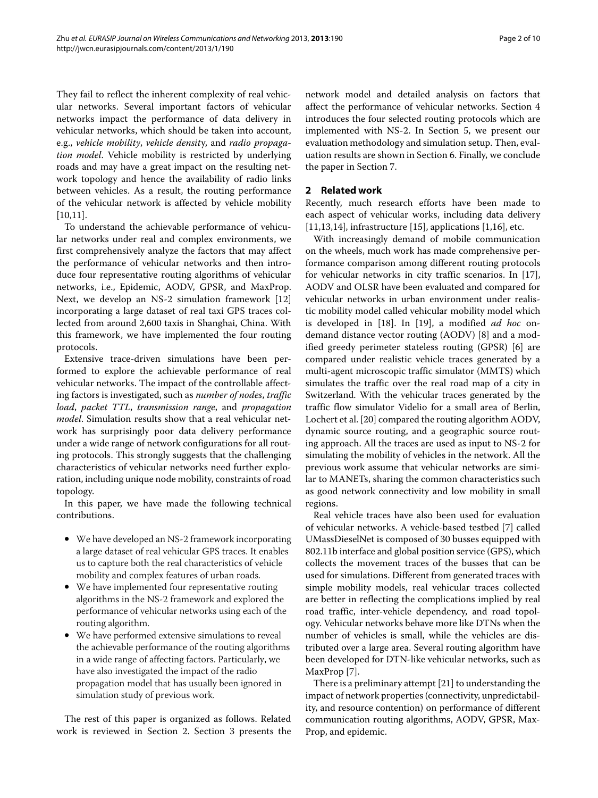They fail to reflect the inherent complexity of real vehicular networks. Several important factors of vehicular networks impact the performance of data delivery in vehicular networks, which should be taken into account, e.g., *vehicle mobility*, *vehicle densit*y, and *radio propagation model*. Vehicle mobility is restricted by underlying roads and may have a great impact on the resulting network topology and hence the availability of radio links between vehicles. As a result, the routing performance of the vehicular network is affected by vehicle mobility [\[10,](#page-9-8)[11\]](#page-9-9).

To understand the achievable performance of vehicular networks under real and complex environments, we first comprehensively analyze the factors that may affect the performance of vehicular networks and then introduce four representative routing algorithms of vehicular networks, i.e., Epidemic, AODV, GPSR, and MaxProp. Next, we develop an NS-2 simulation framework [\[12\]](#page-9-10) incorporating a large dataset of real taxi GPS traces collected from around 2,600 taxis in Shanghai, China. With this framework, we have implemented the four routing protocols.

Extensive trace-driven simulations have been performed to explore the achievable performance of real vehicular networks. The impact of the controllable affecting factors is investigated, such as *number of nodes*, *traffic load*, *packet TTL*, *transmission range*, and *propagation model*. Simulation results show that a real vehicular network has surprisingly poor data delivery performance under a wide range of network configurations for all routing protocols. This strongly suggests that the challenging characteristics of vehicular networks need further exploration, including unique node mobility, constraints of road topology.

In this paper, we have made the following technical contributions.

- We have developed an NS-2 framework incorporating a large dataset of real vehicular GPS traces. It enables us to capture both the real characteristics of vehicle mobility and complex features of urban roads.
- We have implemented four representative routing algorithms in the NS-2 framework and explored the performance of vehicular networks using each of the routing algorithm.
- We have performed extensive simulations to reveal the achievable performance of the routing algorithms in a wide range of affecting factors. Particularly, we have also investigated the impact of the radio propagation model that has usually been ignored in simulation study of previous work.

The rest of this paper is organized as follows. Related work is reviewed in Section [2.](#page-1-0) Section [3](#page-2-0) presents the network model and detailed analysis on factors that affect the performance of vehicular networks. Section [4](#page-2-1) introduces the four selected routing protocols which are implemented with NS-2. In Section [5,](#page-3-0) we present our evaluation methodology and simulation setup. Then, evaluation results are shown in Section [6.](#page-5-0) Finally, we conclude the paper in Section [7.](#page-8-0)

#### <span id="page-1-0"></span>**2 Related work**

Recently, much research efforts have been made to each aspect of vehicular works, including data delivery  $[11,13,14]$  $[11,13,14]$  $[11,13,14]$ , infrastructure  $[15]$ , applications  $[1,16]$  $[1,16]$ , etc.

With increasingly demand of mobile communication on the wheels, much work has made comprehensive performance comparison among different routing protocols for vehicular networks in city traffic scenarios. In [\[17\]](#page-9-15), AODV and OLSR have been evaluated and compared for vehicular networks in urban environment under realistic mobility model called vehicular mobility model which is developed in [\[18\]](#page-9-16). In [\[19\]](#page-9-17), a modified *ad hoc* ondemand distance vector routing (AODV) [\[8\]](#page-9-6) and a modified greedy perimeter stateless routing (GPSR) [\[6\]](#page-9-4) are compared under realistic vehicle traces generated by a multi-agent microscopic traffic simulator (MMTS) which simulates the traffic over the real road map of a city in Switzerland. With the vehicular traces generated by the traffic flow simulator Videlio for a small area of Berlin, Lochert et al. [\[20\]](#page-9-18) compared the routing algorithm AODV, dynamic source routing, and a geographic source routing approach. All the traces are used as input to NS-2 for simulating the mobility of vehicles in the network. All the previous work assume that vehicular networks are similar to MANETs, sharing the common characteristics such as good network connectivity and low mobility in small regions.

Real vehicle traces have also been used for evaluation of vehicular networks. A vehicle-based testbed [\[7\]](#page-9-5) called UMassDieselNet is composed of 30 busses equipped with 802.11b interface and global position service (GPS), which collects the movement traces of the busses that can be used for simulations. Different from generated traces with simple mobility models, real vehicular traces collected are better in reflecting the complications implied by real road traffic, inter-vehicle dependency, and road topology. Vehicular networks behave more like DTNs when the number of vehicles is small, while the vehicles are distributed over a large area. Several routing algorithm have been developed for DTN-like vehicular networks, such as MaxProp [\[7\]](#page-9-5).

There is a preliminary attempt [\[21\]](#page-9-19) to understanding the impact of network properties (connectivity, unpredictability, and resource contention) on performance of different communication routing algorithms, AODV, GPSR, Max-Prop, and epidemic.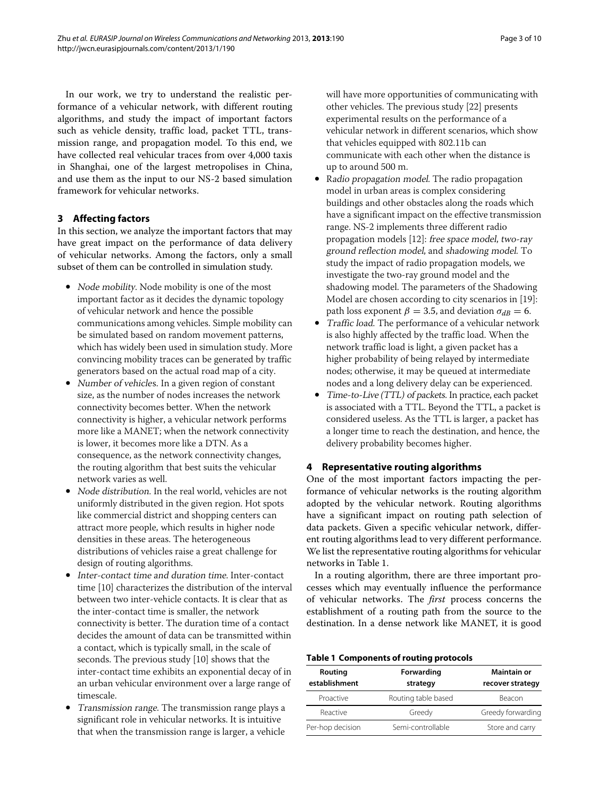In our work, we try to understand the realistic performance of a vehicular network, with different routing algorithms, and study the impact of important factors such as vehicle density, traffic load, packet TTL, transmission range, and propagation model. To this end, we have collected real vehicular traces from over 4,000 taxis in Shanghai, one of the largest metropolises in China, and use them as the input to our NS-2 based simulation framework for vehicular networks.

# <span id="page-2-0"></span>**3 Affecting factors**

In this section, we analyze the important factors that may have great impact on the performance of data delivery of vehicular networks. Among the factors, only a small subset of them can be controlled in simulation study.

- Node mobility. Node mobility is one of the most important factor as it decides the dynamic topology of vehicular network and hence the possible communications among vehicles. Simple mobility can be simulated based on random movement patterns, which has widely been used in simulation study. More convincing mobility traces can be generated by traffic generators based on the actual road map of a city.
- Number of vehicles. In a given region of constant size, as the number of nodes increases the network connectivity becomes better. When the network connectivity is higher, a vehicular network performs more like a MANET; when the network connectivity is lower, it becomes more like a DTN. As a consequence, as the network connectivity changes, the routing algorithm that best suits the vehicular network varies as well.
- Node distribution. In the real world, vehicles are not uniformly distributed in the given region. Hot spots like commercial district and shopping centers can attract more people, which results in higher node densities in these areas. The heterogeneous distributions of vehicles raise a great challenge for design of routing algorithms.
- Inter-contact time and duration time. Inter-contact time [\[10\]](#page-9-8) characterizes the distribution of the interval between two inter-vehicle contacts. It is clear that as the inter-contact time is smaller, the network connectivity is better. The duration time of a contact decides the amount of data can be transmitted within a contact, which is typically small, in the scale of seconds. The previous study [\[10\]](#page-9-8) shows that the inter-contact time exhibits an exponential decay of in an urban vehicular environment over a large range of timescale.
- Transmission range. The transmission range plays a significant role in vehicular networks. It is intuitive that when the transmission range is larger, a vehicle

will have more opportunities of communicating with other vehicles. The previous study [\[22\]](#page-9-20) presents experimental results on the performance of a vehicular network in different scenarios, which show that vehicles equipped with 802.11b can communicate with each other when the distance is up to around 500 m.

- Radio propagation model. The radio propagation model in urban areas is complex considering buildings and other obstacles along the roads which have a significant impact on the effective transmission range. NS-2 implements three different radio propagation models [\[12\]](#page-9-10): free space model, two-ray ground reflection model, and shadowing model. To study the impact of radio propagation models, we investigate the two-ray ground model and the shadowing model. The parameters of the Shadowing Model are chosen according to city scenarios in [\[19\]](#page-9-17): path loss exponent  $\beta = 3.5$ , and deviation  $\sigma_{dB} = 6$ .
- Traffic load. The performance of a vehicular network is also highly affected by the traffic load. When the network traffic load is light, a given packet has a higher probability of being relayed by intermediate nodes; otherwise, it may be queued at intermediate nodes and a long delivery delay can be experienced.
- Time-to-Live (TTL) of packets. In practice, each packet is associated with a TTL. Beyond the TTL, a packet is considered useless. As the TTL is larger, a packet has a longer time to reach the destination, and hence, the delivery probability becomes higher.

# <span id="page-2-1"></span>**4 Representative routing algorithms**

One of the most important factors impacting the performance of vehicular networks is the routing algorithm adopted by the vehicular network. Routing algorithms have a significant impact on routing path selection of data packets. Given a specific vehicular network, different routing algorithms lead to very different performance. We list the representative routing algorithms for vehicular networks in Table [1.](#page-2-2)

In a routing algorithm, there are three important processes which may eventually influence the performance of vehicular networks. The *first* process concerns the establishment of a routing path from the source to the destination. In a dense network like MANET, it is good

#### **Table 1 Components of routing protocols**

<span id="page-2-2"></span>

| Routing<br>establishment | Forwarding<br>strategy      | <b>Maintain or</b><br>recover strategy |  |
|--------------------------|-----------------------------|----------------------------------------|--|
| Proactive                | Routing table based         | Beacon                                 |  |
| Reactive                 | Greedy forwarding<br>Greedy |                                        |  |
| Per-hop decision         | Semi-controllable           | Store and carry                        |  |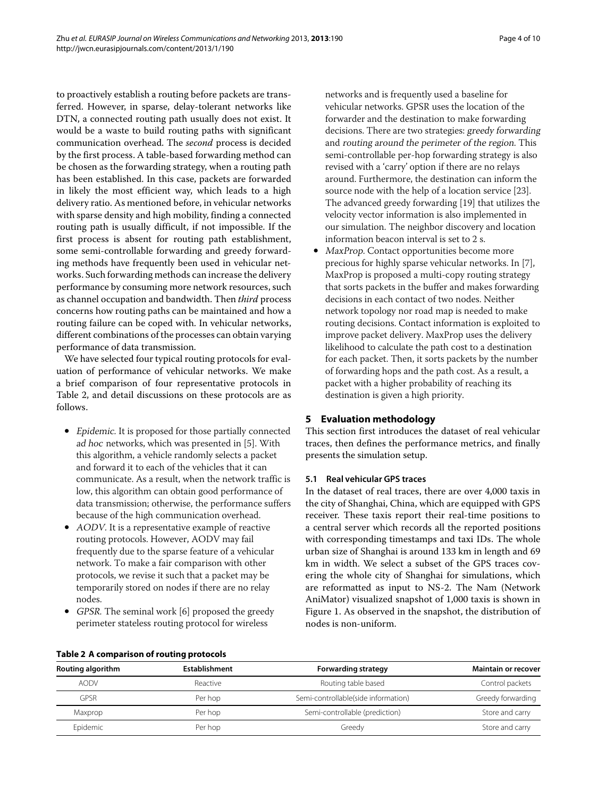to proactively establish a routing before packets are transferred. However, in sparse, delay-tolerant networks like DTN, a connected routing path usually does not exist. It would be a waste to build routing paths with significant communication overhead. The *second* process is decided by the first process. A table-based forwarding method can be chosen as the forwarding strategy, when a routing path has been established. In this case, packets are forwarded in likely the most efficient way, which leads to a high delivery ratio. As mentioned before, in vehicular networks with sparse density and high mobility, finding a connected routing path is usually difficult, if not impossible. If the first process is absent for routing path establishment, some semi-controllable forwarding and greedy forwarding methods have frequently been used in vehicular networks. Such forwarding methods can increase the delivery performance by consuming more network resources, such as channel occupation and bandwidth. Then *third* process concerns how routing paths can be maintained and how a routing failure can be coped with. In vehicular networks, different combinations of the processes can obtain varying performance of data transmission.

We have selected four typical routing protocols for evaluation of performance of vehicular networks. We make a brief comparison of four representative protocols in Table [2,](#page-3-1) and detail discussions on these protocols are as follows.

- Epidemic. It is proposed for those partially connected ad hoc networks, which was presented in [\[5\]](#page-9-3). With this algorithm, a vehicle randomly selects a packet and forward it to each of the vehicles that it can communicate. As a result, when the network traffic is low, this algorithm can obtain good performance of data transmission; otherwise, the performance suffers because of the high communication overhead.
- AODV. It is a representative example of reactive routing protocols. However, AODV may fail frequently due to the sparse feature of a vehicular network. To make a fair comparison with other protocols, we revise it such that a packet may be temporarily stored on nodes if there are no relay nodes.
- GPSR. The seminal work [\[6\]](#page-9-4) proposed the greedy perimeter stateless routing protocol for wireless

networks and is frequently used a baseline for vehicular networks. GPSR uses the location of the forwarder and the destination to make forwarding decisions. There are two strategies: greedy forwarding and routing around the perimeter of the region. This semi-controllable per-hop forwarding strategy is also revised with a 'carry' option if there are no relays around. Furthermore, the destination can inform the source node with the help of a location service [\[23\]](#page-9-21). The advanced greedy forwarding [\[19\]](#page-9-17) that utilizes the velocity vector information is also implemented in our simulation. The neighbor discovery and location information beacon interval is set to 2 s.

• MaxProp. Contact opportunities become more precious for highly sparse vehicular networks. In [\[7\]](#page-9-5), MaxProp is proposed a multi-copy routing strategy that sorts packets in the buffer and makes forwarding decisions in each contact of two nodes. Neither network topology nor road map is needed to make routing decisions. Contact information is exploited to improve packet delivery. MaxProp uses the delivery likelihood to calculate the path cost to a destination for each packet. Then, it sorts packets by the number of forwarding hops and the path cost. As a result, a packet with a higher probability of reaching its destination is given a high priority.

#### <span id="page-3-0"></span>**5 Evaluation methodology**

This section first introduces the dataset of real vehicular traces, then defines the performance metrics, and finally presents the simulation setup.

#### **5.1 Real vehicular GPS traces**

In the dataset of real traces, there are over 4,000 taxis in the city of Shanghai, China, which are equipped with GPS receiver. These taxis report their real-time positions to a central server which records all the reported positions with corresponding timestamps and taxi IDs. The whole urban size of Shanghai is around 133 km in length and 69 km in width. We select a subset of the GPS traces covering the whole city of Shanghai for simulations, which are reformatted as input to NS-2. The Nam (Network AniMator) visualized snapshot of 1,000 taxis is shown in Figure [1.](#page-4-0) As observed in the snapshot, the distribution of nodes is non-uniform.

<span id="page-3-1"></span>

| Routing algorithm | <b>Establishment</b> | <b>Forwarding strategy</b>          | <b>Maintain or recover</b> |
|-------------------|----------------------|-------------------------------------|----------------------------|
| <b>AODV</b>       | Reactive             | Routing table based                 | Control packets            |
| GPSR              | Per hop              | Semi-controllable(side information) | Greedy forwarding          |
| Maxprop           | Per hop              | Semi-controllable (prediction)      | Store and carry            |
| Epidemic          | Per hop              | Greedy                              | Store and carry            |

#### **Table 2 A comparison of routing protocols**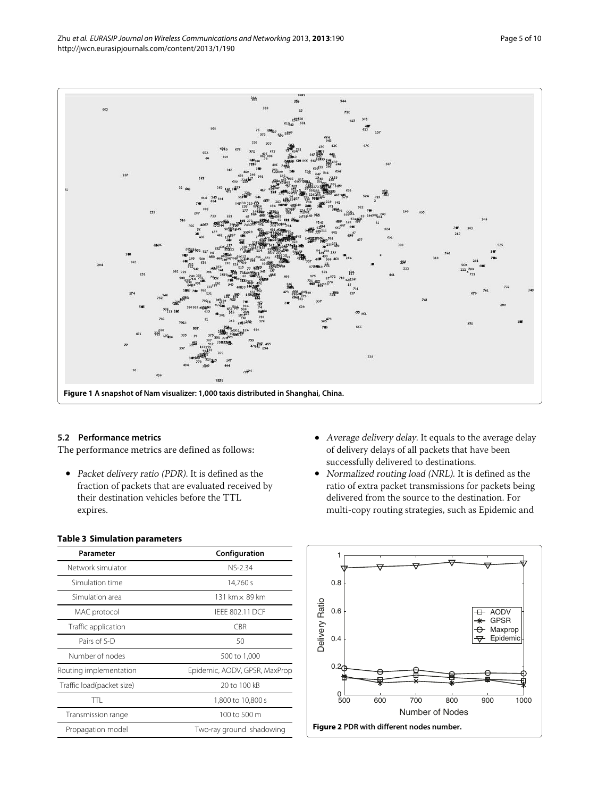

#### <span id="page-4-0"></span>**5.2 Performance metrics**

The performance metrics are defined as follows:

- Packet delivery ratio (PDR). It is defined as the fraction of packets that are evaluated received by their destination vehicles before the TTL expires.
- Average delivery delay. It equals to the average delay of delivery delays of all packets that have been successfully delivered to destinations.
- Normalized routing load (NRL). It is defined as the ratio of extra packet transmissions for packets being delivered from the source to the destination. For multi-copy routing strategies, such as Epidemic and



<span id="page-4-2"></span>

# <span id="page-4-1"></span>**Table 3 Simulation parameters**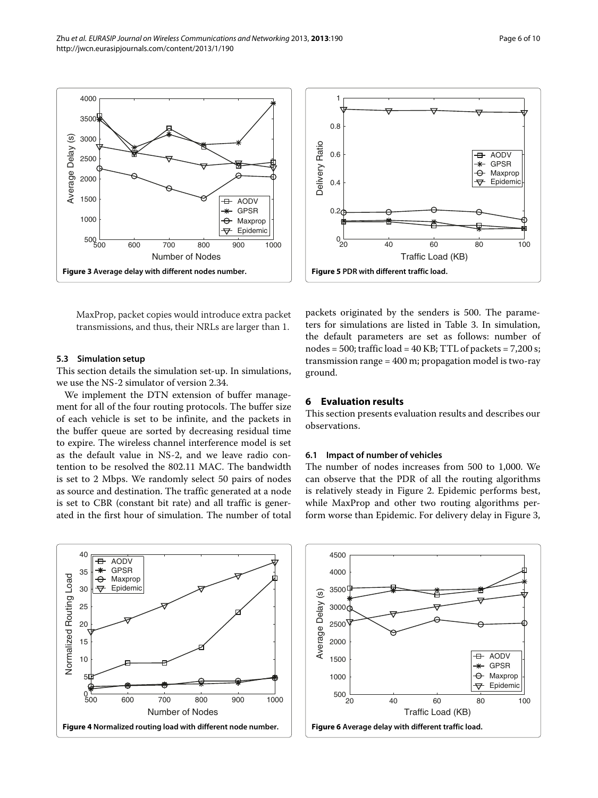<span id="page-5-1"></span>MaxProp, packet copies would introduce extra packet transmissions, and thus, their NRLs are larger than 1.

#### **5.3 Simulation setup**

This section details the simulation set-up. In simulations, we use the NS-2 simulator of version 2.34.

We implement the DTN extension of buffer management for all of the four routing protocols. The buffer size of each vehicle is set to be infinite, and the packets in the buffer queue are sorted by decreasing residual time to expire. The wireless channel interference model is set as the default value in NS-2, and we leave radio contention to be resolved the 802.11 MAC. The bandwidth is set to 2 Mbps. We randomly select 50 pairs of nodes as source and destination. The traffic generated at a node is set to CBR (constant bit rate) and all traffic is generated in the first hour of simulation. The number of total

<span id="page-5-3"></span>packets originated by the senders is 500. The parameters for simulations are listed in Table [3.](#page-4-1) In simulation, the default parameters are set as follows: number of nodes =  $500$ ; traffic load =  $40$  KB; TTL of packets =  $7,200$  s; transmission range = 400 m; propagation model is two-ray ground.

#### <span id="page-5-0"></span>**6 Evaluation results**

This section presents evaluation results and describes our observations.

#### **6.1 Impact of number of vehicles**

The number of nodes increases from 500 to 1,000. We can observe that the PDR of all the routing algorithms is relatively steady in Figure [2.](#page-4-2) Epidemic performs best, while MaxProp and other two routing algorithms perform worse than Epidemic. For delivery delay in Figure [3,](#page-5-1)

<span id="page-5-2"></span>

<span id="page-5-4"></span>





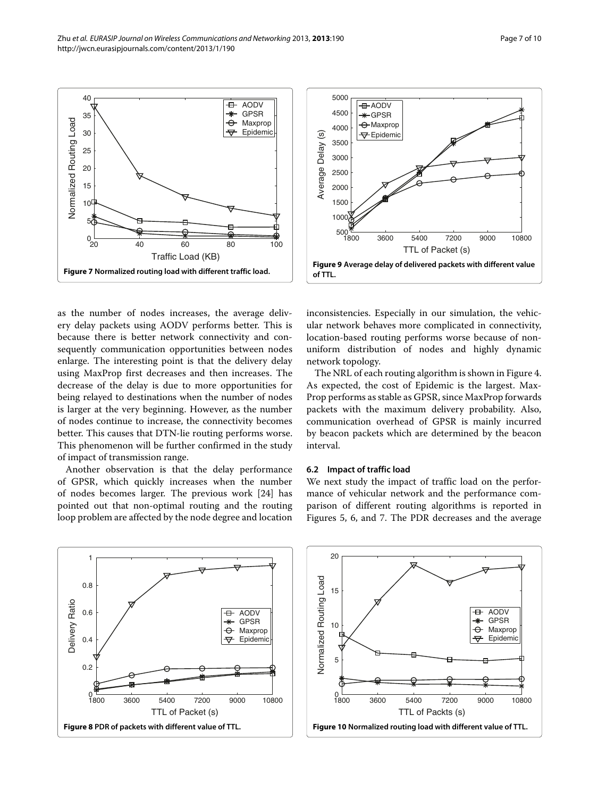as the number of nodes increases, the average delivery delay packets using AODV performs better. This is because there is better network connectivity and consequently communication opportunities between nodes enlarge. The interesting point is that the delivery delay using MaxProp first decreases and then increases. The decrease of the delay is due to more opportunities for being relayed to destinations when the number of nodes is larger at the very beginning. However, as the number of nodes continue to increase, the connectivity becomes better. This causes that DTN-lie routing performs worse. This phenomenon will be further confirmed in the study of impact of transmission range.

<span id="page-6-0"></span> $^{0}$ <sub>20</sub>

Normalized Routing Load

Normalized Routing Load

Another observation is that the delay performance of GPSR, which quickly increases when the number of nodes becomes larger. The previous work [\[24\]](#page-9-22) has pointed out that non-optimal routing and the routing loop problem are affected by the node degree and location

<span id="page-6-1"></span>1800 3600 5400 7200 9000 10800

 $0 - 1800$ 

0.2

 $0.4$ 

Delivery Ratio

**Delivery Ratio** 

0.6

0.8

1

network topology.

#### **6.2 Impact of traffic load**

We next study the impact of traffic load on the performance of vehicular network and the performance comparison of different routing algorithms is reported in Figures [5,](#page-5-3) [6,](#page-5-4) and [7.](#page-6-0) The PDR decreases and the average







<span id="page-6-2"></span>inconsistencies. Especially in our simulation, the vehicular network behaves more complicated in connectivity, location-based routing performs worse because of nonuniform distribution of nodes and highly dynamic

The NRL of each routing algorithm is shown in Figure [4.](#page-5-2) As expected, the cost of Epidemic is the largest. Max-Prop performs as stable as GPSR, since MaxProp forwards packets with the maximum delivery probability. Also, communication overhead of GPSR is mainly incurred by beacon packets which are determined by the beacon interval.



 AODV GPSR Maxprop Epidemic

 $\overline{+}$ 

 $\Theta$ ₩

<span id="page-6-3"></span>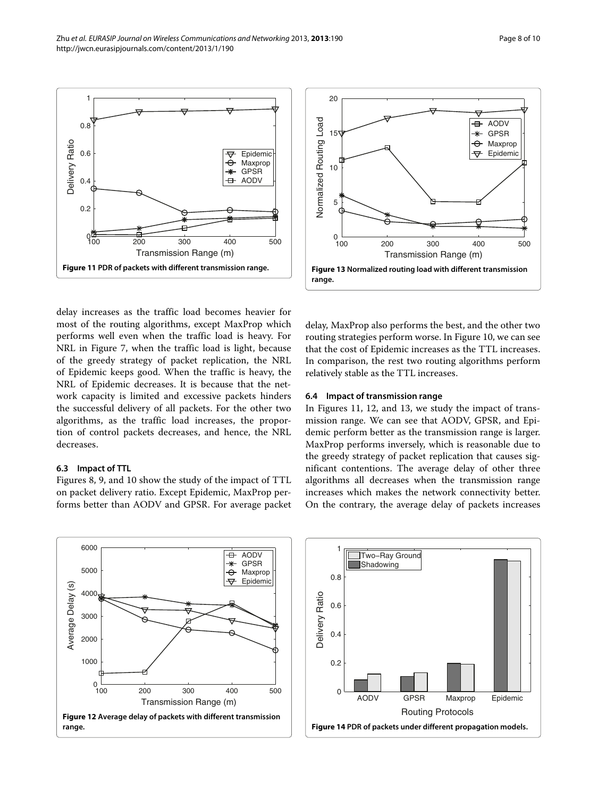

<span id="page-7-0"></span>delay increases as the traffic load becomes heavier for most of the routing algorithms, except MaxProp which performs well even when the traffic load is heavy. For NRL in Figure [7,](#page-6-0) when the traffic load is light, because of the greedy strategy of packet replication, the NRL of Epidemic keeps good. When the traffic is heavy, the NRL of Epidemic decreases. It is because that the network capacity is limited and excessive packets hinders the successful delivery of all packets. For the other two algorithms, as the traffic load increases, the proportion of control packets decreases, and hence, the NRL decreases.

# **6.3 Impact of TTL**

Figures [8,](#page-6-1) [9,](#page-6-2) and [10](#page-6-3) show the study of the impact of TTL on packet delivery ratio. Except Epidemic, MaxProp performs better than AODV and GPSR. For average packet



<span id="page-7-2"></span>delay, MaxProp also performs the best, and the other two routing strategies perform worse. In Figure [10,](#page-6-3) we can see that the cost of Epidemic increases as the TTL increases. In comparison, the rest two routing algorithms perform relatively stable as the TTL increases.

### **6.4 Impact of transmission range**

In Figures [11,](#page-7-0) [12,](#page-7-1) and [13,](#page-7-2) we study the impact of transmission range. We can see that AODV, GPSR, and Epidemic perform better as the transmission range is larger. MaxProp performs inversely, which is reasonable due to the greedy strategy of packet replication that causes significant contentions. The average delay of other three algorithms all decreases when the transmission range increases which makes the network connectivity better. On the contrary, the average delay of packets increases

<span id="page-7-1"></span>

<span id="page-7-3"></span>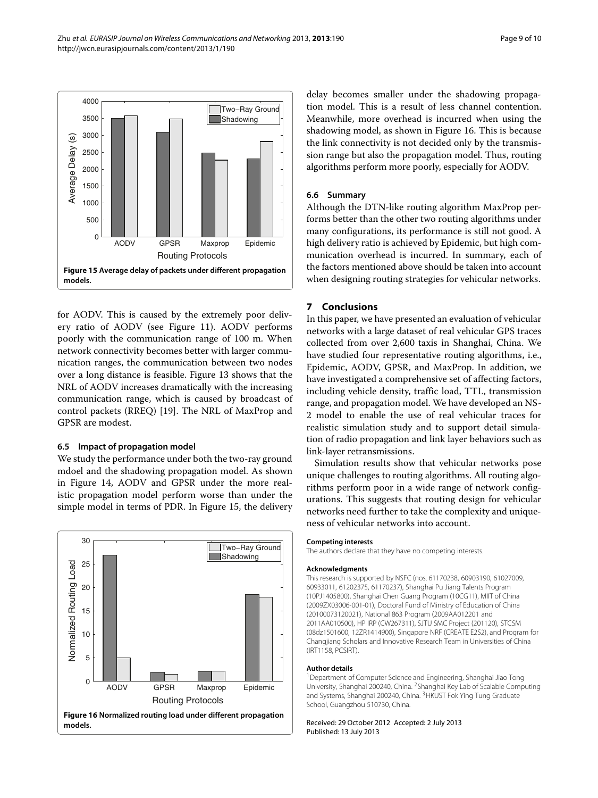

<span id="page-8-1"></span>for AODV. This is caused by the extremely poor delivery ratio of AODV (see Figure [11\)](#page-7-0). AODV performs poorly with the communication range of 100 m. When network connectivity becomes better with larger communication ranges, the communication between two nodes over a long distance is feasible. Figure [13](#page-7-2) shows that the NRL of AODV increases dramatically with the increasing communication range, which is caused by broadcast of control packets (RREQ) [\[19\]](#page-9-17). The NRL of MaxProp and GPSR are modest.

#### **6.5 Impact of propagation model**

We study the performance under both the two-ray ground mdoel and the shadowing propagation model. As shown in Figure [14,](#page-7-3) AODV and GPSR under the more realistic propagation model perform worse than under the simple model in terms of PDR. In Figure [15,](#page-8-1) the delivery



delay becomes smaller under the shadowing propagation model. This is a result of less channel contention. Meanwhile, more overhead is incurred when using the shadowing model, as shown in Figure [16.](#page-8-2) This is because the link connectivity is not decided only by the transmission range but also the propagation model. Thus, routing algorithms perform more poorly, especially for AODV.

# **6.6 Summary**

Although the DTN-like routing algorithm MaxProp performs better than the other two routing algorithms under many configurations, its performance is still not good. A high delivery ratio is achieved by Epidemic, but high communication overhead is incurred. In summary, each of the factors mentioned above should be taken into account when designing routing strategies for vehicular networks.

# <span id="page-8-0"></span>**7 Conclusions**

In this paper, we have presented an evaluation of vehicular networks with a large dataset of real vehicular GPS traces collected from over 2,600 taxis in Shanghai, China. We have studied four representative routing algorithms, i.e., Epidemic, AODV, GPSR, and MaxProp. In addition, we have investigated a comprehensive set of affecting factors, including vehicle density, traffic load, TTL, transmission range, and propagation model. We have developed an NS-2 model to enable the use of real vehicular traces for realistic simulation study and to support detail simulation of radio propagation and link layer behaviors such as link-layer retransmissions.

Simulation results show that vehicular networks pose unique challenges to routing algorithms. All routing algorithms perform poor in a wide range of network configurations. This suggests that routing design for vehicular networks need further to take the complexity and uniqueness of vehicular networks into account.

#### **Competing interests**

The authors declare that they have no competing interests.

#### **Acknowledgments**

This research is supported by NSFC (nos. 61170238, 60903190, 61027009, 60933011, 61202375, 61170237), Shanghai Pu Jiang Talents Program (10PJ1405800), Shanghai Chen Guang Program (10CG11), MIIT of China (2009ZX03006-001-01), Doctoral Fund of Ministry of Education of China (20100073120021), National 863 Program (2009AA012201 and 2011AA010500), HP IRP (CW267311), SJTU SMC Project (201120), STCSM (08dz1501600, 12ZR1414900), Singapore NRF (CREATE E2S2), and Program for Changjiang Scholars and Innovative Research Team in Universities of China (IRT1158, PCSIRT).

#### **Author details**

<sup>1</sup> Department of Computer Science and Engineering, Shanghai Jiao Tong University, Shanghai 200240, China. 2Shanghai Key Lab of Scalable Computing and Systems, Shanghai 200240, China. <sup>3</sup>HKUST Fok Ying Tung Graduate School, Guangzhou 510730, China.

#### <span id="page-8-2"></span>Received: 29 October 2012 Accepted: 2 July 2013 Published: 13 July 2013